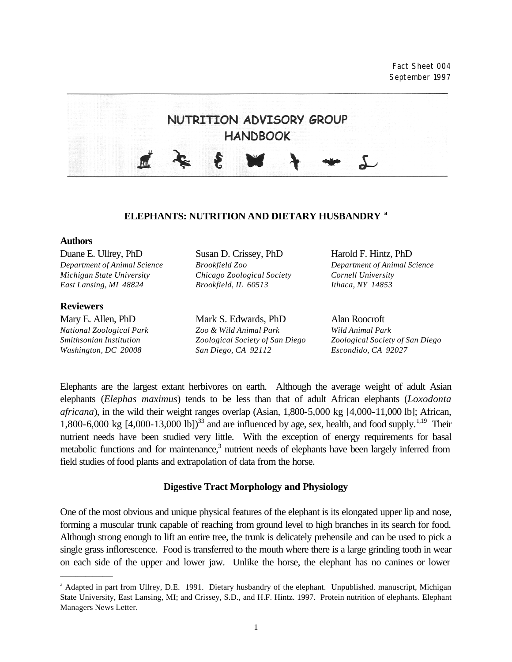Fact Sheet 004 September 1997



#### **ELEPHANTS: NUTRITION AND DIETARY HUSBANDRY <sup>a</sup>**

#### **Authors**

*Department of Animal Science Brookfield Zoo Department of Animal Science Michigan State University Chicago Zoological Society Cornell University East Lansing, MI 48824 Brookfield, IL 60513 Ithaca, NY 14853*

#### **Reviewers**

 $\overline{\phantom{a}}$  , we can also the contract of  $\overline{\phantom{a}}$ 

Duane E. Ullrey, PhD Susan D. Crissey, PhD Harold F. Hintz, PhD

Mary E. Allen, PhD Mark S. Edwards, PhD Alan Roocroft *National Zoological Park Zoo & Wild Animal Park Wild Animal Park Smithsonian Institution Zoological Society of San Diego Zoological Society of San Diego Washington, DC 20008 San Diego, CA 92112 Escondido, CA 92027*

Elephants are the largest extant herbivores on earth. Although the average weight of adult Asian elephants (*Elephas maximus*) tends to be less than that of adult African elephants (*Loxodonta africana*), in the wild their weight ranges overlap (Asian, 1,800-5,000 kg [4,000-11,000 lb]; African, 1,800-6,000 kg  $[4,000-13,000 \text{ lb}]\right)^{33}$  and are influenced by age, sex, health, and food supply.<sup>1,19</sup> Their nutrient needs have been studied very little. With the exception of energy requirements for basal metabolic functions and for maintenance,<sup>3</sup> nutrient needs of elephants have been largely inferred from field studies of food plants and extrapolation of data from the horse.

# **Digestive Tract Morphology and Physiology**

One of the most obvious and unique physical features of the elephant is its elongated upper lip and nose, forming a muscular trunk capable of reaching from ground level to high branches in its search for food. Although strong enough to lift an entire tree, the trunk is delicately prehensile and can be used to pick a single grass inflorescence. Food is transferred to the mouth where there is a large grinding tooth in wear on each side of the upper and lower jaw. Unlike the horse, the elephant has no canines or lower

<sup>&</sup>lt;sup>a</sup> Adapted in part from Ullrey, D.E. 1991. Dietary husbandry of the elephant. Unpublished. manuscript, Michigan State University, East Lansing, MI; and Crissey, S.D., and H.F. Hintz. 1997. Protein nutrition of elephants. Elephant Managers News Letter.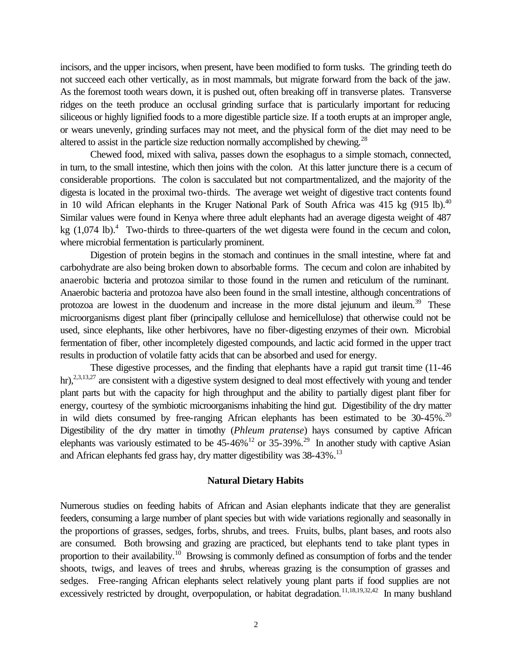incisors, and the upper incisors, when present, have been modified to form tusks. The grinding teeth do not succeed each other vertically, as in most mammals, but migrate forward from the back of the jaw. As the foremost tooth wears down, it is pushed out, often breaking off in transverse plates. Transverse ridges on the teeth produce an occlusal grinding surface that is particularly important for reducing siliceous or highly lignified foods to a more digestible particle size. If a tooth erupts at an improper angle, or wears unevenly, grinding surfaces may not meet, and the physical form of the diet may need to be altered to assist in the particle size reduction normally accomplished by chewing.<sup>28</sup>

Chewed food, mixed with saliva, passes down the esophagus to a simple stomach, connected, in turn, to the small intestine, which then joins with the colon. At this latter juncture there is a cecum of considerable proportions. The colon is sacculated but not compartmentalized, and the majority of the digesta is located in the proximal two-thirds. The average wet weight of digestive tract contents found in 10 wild African elephants in the Kruger National Park of South Africa was 415 kg  $(915 \text{ lb})$ .<sup>40</sup> Similar values were found in Kenya where three adult elephants had an average digesta weight of 487 kg  $(1,074 \text{ lb})$ .<sup>4</sup> Two-thirds to three-quarters of the wet digesta were found in the cecum and colon, where microbial fermentation is particularly prominent.

Digestion of protein begins in the stomach and continues in the small intestine, where fat and carbohydrate are also being broken down to absorbable forms. The cecum and colon are inhabited by anaerobic bacteria and protozoa similar to those found in the rumen and reticulum of the ruminant. Anaerobic bacteria and protozoa have also been found in the small intestine, although concentrations of protozoa are lowest in the duodenum and increase in the more distal jejunum and ileum.<sup>39</sup> These microorganisms digest plant fiber (principally cellulose and hemicellulose) that otherwise could not be used, since elephants, like other herbivores, have no fiber-digesting enzymes of their own. Microbial fermentation of fiber, other incompletely digested compounds, and lactic acid formed in the upper tract results in production of volatile fatty acids that can be absorbed and used for energy.

These digestive processes, and the finding that elephants have a rapid gut transit time (11-46 hr),<sup>2,3,13,27</sup> are consistent with a digestive system designed to deal most effectively with young and tender plant parts but with the capacity for high throughput and the ability to partially digest plant fiber for energy, courtesy of the symbiotic microorganisms inhabiting the hind gut. Digestibility of the dry matter in wild diets consumed by free-ranging African elephants has been estimated to be  $30-45\%$ .<sup>20</sup> Digestibility of the dry matter in timothy (*Phleum pratense*) hays consumed by captive African elephants was variously estimated to be  $45-46\%$  <sup>12</sup> or  $35-39\%$ .<sup>29</sup> In another study with captive Asian and African elephants fed grass hay, dry matter digestibility was 38-43%.<sup>13</sup>

#### **Natural Dietary Habits**

Numerous studies on feeding habits of African and Asian elephants indicate that they are generalist feeders, consuming a large number of plant species but with wide variations regionally and seasonally in the proportions of grasses, sedges, forbs, shrubs, and trees. Fruits, bulbs, plant bases, and roots also are consumed. Both browsing and grazing are practiced, but elephants tend to take plant types in proportion to their availability.<sup>10</sup> Browsing is commonly defined as consumption of forbs and the tender shoots, twigs, and leaves of trees and shrubs, whereas grazing is the consumption of grasses and sedges. Free-ranging African elephants select relatively young plant parts if food supplies are not excessively restricted by drought, overpopulation, or habitat degradation.<sup>11,18,19,32,42</sup> In many bushland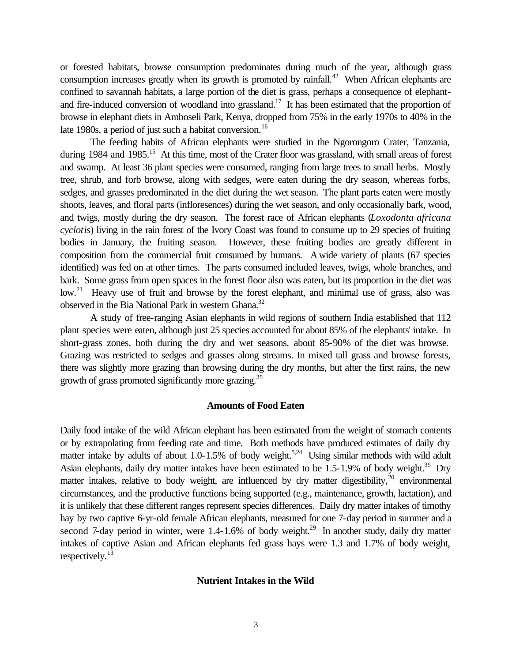or forested habitats, browse consumption predominates during much of the year, although grass consumption increases greatly when its growth is promoted by rainfall.<sup>42</sup> When African elephants are confined to savannah habitats, a large portion of the diet is grass, perhaps a consequence of elephantand fire-induced conversion of woodland into grassland.<sup>17</sup> It has been estimated that the proportion of browse in elephant diets in Amboseli Park, Kenya, dropped from 75% in the early 1970s to 40% in the late 1980s, a period of just such a habitat conversion.<sup>16</sup>

The feeding habits of African elephants were studied in the Ngorongoro Crater, Tanzania, during 1984 and 1985.<sup>15</sup> At this time, most of the Crater floor was grassland, with small areas of forest and swamp. At least 36 plant species were consumed, ranging from large trees to small herbs. Mostly tree, shrub, and forb browse, along with sedges, were eaten during the dry season, whereas forbs, sedges, and grasses predominated in the diet during the wet season. The plant parts eaten were mostly shoots, leaves, and floral parts (infloresences) during the wet season, and only occasionally bark, wood, and twigs, mostly during the dry season. The forest race of African elephants (*Loxodonta africana cyclotis*) living in the rain forest of the Ivory Coast was found to consume up to 29 species of fruiting bodies in January, the fruiting season. However, these fruiting bodies are greatly different in composition from the commercial fruit consumed by humans. A wide variety of plants (67 species identified) was fed on at other times. The parts consumed included leaves, twigs, whole branches, and bark. Some grass from open spaces in the forest floor also was eaten, but its proportion in the diet was low.<sup>21</sup> Heavy use of fruit and browse by the forest elephant, and minimal use of grass, also was observed in the Bia National Park in western Ghana.<sup>32</sup>

A study of free-ranging Asian elephants in wild regions of southern India established that 112 plant species were eaten, although just 25 species accounted for about 85% of the elephants' intake. In short-grass zones, both during the dry and wet seasons, about 85-90% of the diet was browse. Grazing was restricted to sedges and grasses along streams. In mixed tall grass and browse forests, there was slightly more grazing than browsing during the dry months, but after the first rains, the new growth of grass promoted significantly more grazing.<sup>35</sup>

## **Amounts of Food Eaten**

Daily food intake of the wild African elephant has been estimated from the weight of stomach contents or by extrapolating from feeding rate and time. Both methods have produced estimates of daily dry matter intake by adults of about 1.0-1.5% of body weight.<sup>5,24</sup> Using similar methods with wild adult Asian elephants, daily dry matter intakes have been estimated to be  $1.5-1.9\%$  of body weight.<sup>35</sup> Dry matter intakes, relative to body weight, are influenced by dry matter digestibility,  $20$  environmental circumstances, and the productive functions being supported (e.g., maintenance, growth, lactation), and it is unlikely that these different ranges represent species differences. Daily dry matter intakes of timothy hay by two captive 6-yr-old female African elephants, measured for one 7-day period in summer and a second 7-day period in winter, were  $1.4$ -1.6% of body weight.<sup>29</sup> In another study, daily dry matter intakes of captive Asian and African elephants fed grass hays were 1.3 and 1.7% of body weight, respectively.<sup>13</sup>

## **Nutrient Intakes in the Wild**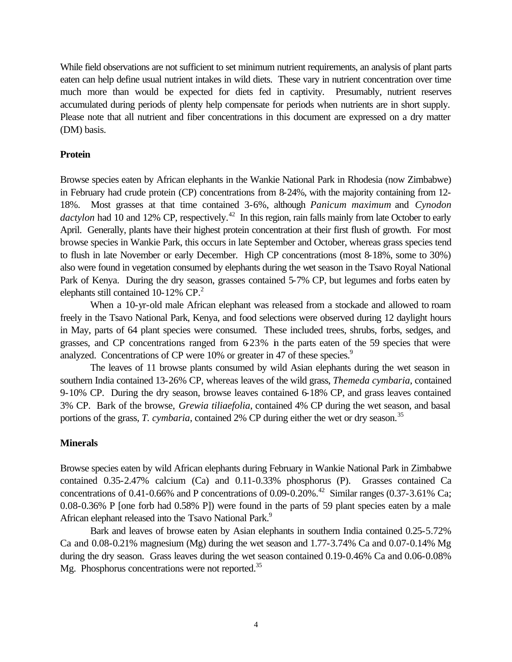While field observations are not sufficient to set minimum nutrient requirements, an analysis of plant parts eaten can help define usual nutrient intakes in wild diets. These vary in nutrient concentration over time much more than would be expected for diets fed in captivity. Presumably, nutrient reserves accumulated during periods of plenty help compensate for periods when nutrients are in short supply. Please note that all nutrient and fiber concentrations in this document are expressed on a dry matter (DM) basis.

## **Protein**

Browse species eaten by African elephants in the Wankie National Park in Rhodesia (now Zimbabwe) in February had crude protein (CP) concentrations from 8-24%, with the majority containing from 12- 18%. Most grasses at that time contained 3-6%, although *Panicum maximum* and *Cynodon dactylon* had 10 and 12% CP, respectively.<sup>42</sup> In this region, rain falls mainly from late October to early April. Generally, plants have their highest protein concentration at their first flush of growth. For most browse species in Wankie Park, this occurs in late September and October, whereas grass species tend to flush in late November or early December. High CP concentrations (most 8-18%, some to 30%) also were found in vegetation consumed by elephants during the wet season in the Tsavo Royal National Park of Kenya. During the dry season, grasses contained 5-7% CP, but legumes and forbs eaten by elephants still contained 10-12%  $\text{CP}^2$ .

When a 10-yr-old male African elephant was released from a stockade and allowed to roam freely in the Tsavo National Park, Kenya, and food selections were observed during 12 daylight hours in May, parts of 64 plant species were consumed. These included trees, shrubs, forbs, sedges, and grasses, and CP concentrations ranged from  $6-23\%$  in the parts eaten of the 59 species that were analyzed. Concentrations of CP were 10% or greater in 47 of these species.<sup>9</sup>

The leaves of 11 browse plants consumed by wild Asian elephants during the wet season in southern India contained 13-26% CP, whereas leaves of the wild grass, *Themeda cymbaria*, contained 9-10% CP. During the dry season, browse leaves contained 6-18% CP, and grass leaves contained 3% CP. Bark of the browse, *Grewia tiliaefolia*, contained 4% CP during the wet season, and basal portions of the grass, *T. cymbaria*, contained 2% CP during either the wet or dry season.<sup>35</sup>

### **Minerals**

Browse species eaten by wild African elephants during February in Wankie National Park in Zimbabwe contained 0.35-2.47% calcium (Ca) and 0.11-0.33% phosphorus (P). Grasses contained Ca concentrations of 0.41-0.66% and P concentrations of 0.09-0.20%.<sup>42</sup> Similar ranges (0.37-3.61% Ca; 0.08-0.36% P [one forb had 0.58% P]) were found in the parts of 59 plant species eaten by a male African elephant released into the Tsavo National Park.<sup>9</sup>

Bark and leaves of browse eaten by Asian elephants in southern India contained 0.25-5.72% Ca and 0.08-0.21% magnesium (Mg) during the wet season and 1.77-3.74% Ca and 0.07-0.14% Mg during the dry season. Grass leaves during the wet season contained 0.19-0.46% Ca and 0.06-0.08% Mg. Phosphorus concentrations were not reported.<sup>35</sup>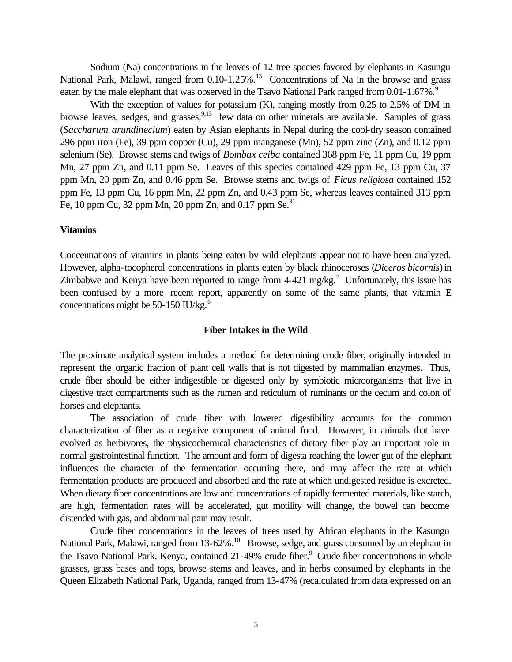Sodium (Na) concentrations in the leaves of 12 tree species favored by elephants in Kasungu National Park, Malawi, ranged from  $0.10$ -1.25%.<sup>13</sup> Concentrations of Na in the browse and grass eaten by the male elephant that was observed in the Tsavo National Park ranged from 0.01-1.67%.<sup>9</sup>

With the exception of values for potassium (K), ranging mostly from 0.25 to 2.5% of DM in browse leaves, sedges, and grasses, <sup>9,13</sup> few data on other minerals are available. Samples of grass (*Saccharum arundinecium*) eaten by Asian elephants in Nepal during the cool-dry season contained 296 ppm iron (Fe), 39 ppm copper (Cu), 29 ppm manganese (Mn), 52 ppm zinc (Zn), and 0.12 ppm selenium (Se). Browse stems and twigs of *Bombax ceiba* contained 368 ppm Fe, 11 ppm Cu, 19 ppm Mn, 27 ppm Zn, and 0.11 ppm Se. Leaves of this species contained 429 ppm Fe, 13 ppm Cu, 37 ppm Mn, 20 ppm Zn, and 0.46 ppm Se. Browse stems and twigs of *Ficus religiosa* contained 152 ppm Fe, 13 ppm Cu, 16 ppm Mn, 22 ppm Zn, and 0.43 ppm Se, whereas leaves contained 313 ppm Fe, 10 ppm Cu, 32 ppm Mn, 20 ppm Zn, and 0.17 ppm Se. $^{31}$ 

#### **Vitamins**

Concentrations of vitamins in plants being eaten by wild elephants appear not to have been analyzed. However, alpha-tocopherol concentrations in plants eaten by black rhinoceroses (*Diceros bicornis*) in Zimbabwe and Kenya have been reported to range from  $4-421$  mg/kg.<sup>7</sup> Unfortunately, this issue has been confused by a more recent report, apparently on some of the same plants, that vitamin E concentrations might be 50-150 IU/kg. $<sup>6</sup>$ </sup>

## **Fiber Intakes in the Wild**

The proximate analytical system includes a method for determining crude fiber, originally intended to represent the organic fraction of plant cell walls that is not digested by mammalian enzymes. Thus, crude fiber should be either indigestible or digested only by symbiotic microorganisms that live in digestive tract compartments such as the rumen and reticulum of ruminants or the cecum and colon of horses and elephants.

The association of crude fiber with lowered digestibility accounts for the common characterization of fiber as a negative component of animal food. However, in animals that have evolved as herbivores, the physicochemical characteristics of dietary fiber play an important role in normal gastrointestinal function. The amount and form of digesta reaching the lower gut of the elephant influences the character of the fermentation occurring there, and may affect the rate at which fermentation products are produced and absorbed and the rate at which undigested residue is excreted. When dietary fiber concentrations are low and concentrations of rapidly fermented materials, like starch, are high, fermentation rates will be accelerated, gut motility will change, the bowel can become distended with gas, and abdominal pain may result.

Crude fiber concentrations in the leaves of trees used by African elephants in the Kasungu National Park, Malawi, ranged from 13-62%.<sup>10</sup> Browse, sedge, and grass consumed by an elephant in the Tsavo National Park, Kenya, contained 21-49% crude fiber.<sup>9</sup> Crude fiber concentrations in whole grasses, grass bases and tops, browse stems and leaves, and in herbs consumed by elephants in the Queen Elizabeth National Park, Uganda, ranged from 13-47% (recalculated from data expressed on an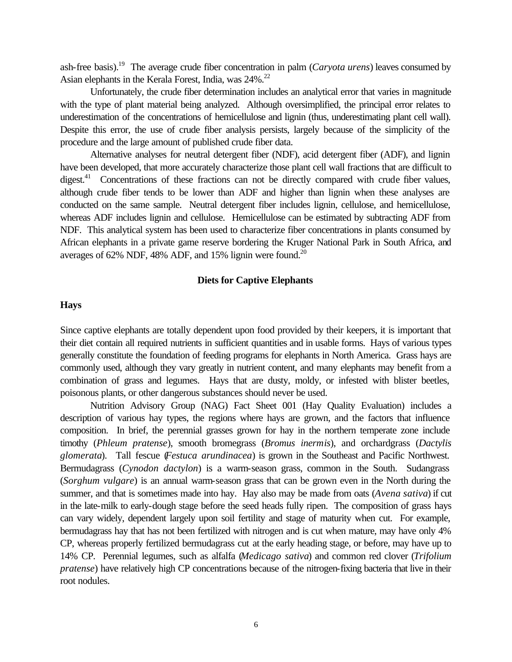ash-free basis).<sup>19</sup> The average crude fiber concentration in palm (*Caryota urens*) leaves consumed by Asian elephants in the Kerala Forest, India, was 24%.<sup>22</sup>

Unfortunately, the crude fiber determination includes an analytical error that varies in magnitude with the type of plant material being analyzed. Although oversimplified, the principal error relates to underestimation of the concentrations of hemicellulose and lignin (thus, underestimating plant cell wall). Despite this error, the use of crude fiber analysis persists, largely because of the simplicity of the procedure and the large amount of published crude fiber data.

Alternative analyses for neutral detergent fiber (NDF), acid detergent fiber (ADF), and lignin have been developed, that more accurately characterize those plant cell wall fractions that are difficult to digest.<sup>41</sup> Concentrations of these fractions can not be directly compared with crude fiber values, although crude fiber tends to be lower than ADF and higher than lignin when these analyses are conducted on the same sample. Neutral detergent fiber includes lignin, cellulose, and hemicellulose, whereas ADF includes lignin and cellulose. Hemicellulose can be estimated by subtracting ADF from NDF. This analytical system has been used to characterize fiber concentrations in plants consumed by African elephants in a private game reserve bordering the Kruger National Park in South Africa, and averages of 62% NDF, 48% ADF, and 15% lignin were found.<sup>20</sup>

## **Diets for Captive Elephants**

# **Hays**

Since captive elephants are totally dependent upon food provided by their keepers, it is important that their diet contain all required nutrients in sufficient quantities and in usable forms. Hays of various types generally constitute the foundation of feeding programs for elephants in North America. Grass hays are commonly used, although they vary greatly in nutrient content, and many elephants may benefit from a combination of grass and legumes. Hays that are dusty, moldy, or infested with blister beetles, poisonous plants, or other dangerous substances should never be used.

Nutrition Advisory Group (NAG) Fact Sheet 001 (Hay Quality Evaluation) includes a description of various hay types, the regions where hays are grown, and the factors that influence composition. In brief, the perennial grasses grown for hay in the northern temperate zone include timothy (*Phleum pratense*), smooth bromegrass (*Bromus inermis*), and orchardgrass (*Dactylis glomerata*). Tall fescue (*Festuca arundinacea*) is grown in the Southeast and Pacific Northwest. Bermudagrass (*Cynodon dactylon*) is a warm-season grass, common in the South. Sudangrass (*Sorghum vulgare*) is an annual warm-season grass that can be grown even in the North during the summer, and that is sometimes made into hay. Hay also may be made from oats (*Avena sativa*) if cut in the late-milk to early-dough stage before the seed heads fully ripen. The composition of grass hays can vary widely, dependent largely upon soil fertility and stage of maturity when cut. For example, bermudagrass hay that has not been fertilized with nitrogen and is cut when mature, may have only 4% CP, whereas properly fertilized bermudagrass cut at the early heading stage, or before, may have up to 14% CP. Perennial legumes, such as alfalfa (*Medicago sativa*) and common red clover (*Trifolium pratense*) have relatively high CP concentrations because of the nitrogen-fixing bacteria that live in their root nodules.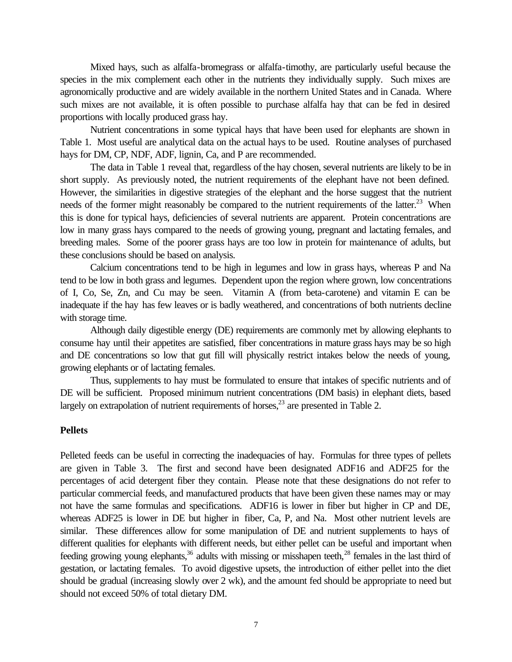Mixed hays, such as alfalfa-bromegrass or alfalfa-timothy, are particularly useful because the species in the mix complement each other in the nutrients they individually supply. Such mixes are agronomically productive and are widely available in the northern United States and in Canada. Where such mixes are not available, it is often possible to purchase alfalfa hay that can be fed in desired proportions with locally produced grass hay.

Nutrient concentrations in some typical hays that have been used for elephants are shown in Table 1. Most useful are analytical data on the actual hays to be used. Routine analyses of purchased hays for DM, CP, NDF, ADF, lignin, Ca, and P are recommended.

The data in Table 1 reveal that, regardless of the hay chosen, several nutrients are likely to be in short supply. As previously noted, the nutrient requirements of the elephant have not been defined. However, the similarities in digestive strategies of the elephant and the horse suggest that the nutrient needs of the former might reasonably be compared to the nutrient requirements of the latter.<sup>23</sup> When this is done for typical hays, deficiencies of several nutrients are apparent. Protein concentrations are low in many grass hays compared to the needs of growing young, pregnant and lactating females, and breeding males. Some of the poorer grass hays are too low in protein for maintenance of adults, but these conclusions should be based on analysis.

Calcium concentrations tend to be high in legumes and low in grass hays, whereas P and Na tend to be low in both grass and legumes. Dependent upon the region where grown, low concentrations of I, Co, Se, Zn, and Cu may be seen. Vitamin A (from beta-carotene) and vitamin E can be inadequate if the hay has few leaves or is badly weathered, and concentrations of both nutrients decline with storage time.

Although daily digestible energy (DE) requirements are commonly met by allowing elephants to consume hay until their appetites are satisfied, fiber concentrations in mature grass hays may be so high and DE concentrations so low that gut fill will physically restrict intakes below the needs of young, growing elephants or of lactating females.

Thus, supplements to hay must be formulated to ensure that intakes of specific nutrients and of DE will be sufficient. Proposed minimum nutrient concentrations (DM basis) in elephant diets, based largely on extrapolation of nutrient requirements of horses,  $^{23}$  are presented in Table 2.

# **Pellets**

Pelleted feeds can be useful in correcting the inadequacies of hay. Formulas for three types of pellets are given in Table 3. The first and second have been designated ADF16 and ADF25 for the percentages of acid detergent fiber they contain. Please note that these designations do not refer to particular commercial feeds, and manufactured products that have been given these names may or may not have the same formulas and specifications. ADF16 is lower in fiber but higher in CP and DE, whereas ADF25 is lower in DE but higher in fiber, Ca, P, and Na. Most other nutrient levels are similar. These differences allow for some manipulation of DE and nutrient supplements to hays of different qualities for elephants with different needs, but either pellet can be useful and important when feeding growing young elephants,<sup>36</sup> adults with missing or misshapen teeth,<sup>28</sup> females in the last third of gestation, or lactating females. To avoid digestive upsets, the introduction of either pellet into the diet should be gradual (increasing slowly over 2 wk), and the amount fed should be appropriate to need but should not exceed 50% of total dietary DM.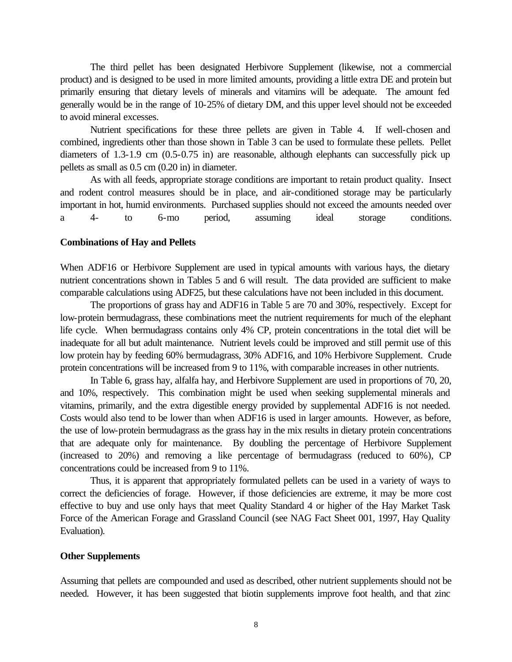The third pellet has been designated Herbivore Supplement (likewise, not a commercial product) and is designed to be used in more limited amounts, providing a little extra DE and protein but primarily ensuring that dietary levels of minerals and vitamins will be adequate. The amount fed generally would be in the range of 10-25% of dietary DM, and this upper level should not be exceeded to avoid mineral excesses.

Nutrient specifications for these three pellets are given in Table 4. If well-chosen and combined, ingredients other than those shown in Table 3 can be used to formulate these pellets. Pellet diameters of 1.3-1.9 cm (0.5-0.75 in) are reasonable, although elephants can successfully pick up pellets as small as 0.5 cm (0.20 in) in diameter.

As with all feeds, appropriate storage conditions are important to retain product quality. Insect and rodent control measures should be in place, and air-conditioned storage may be particularly important in hot, humid environments. Purchased supplies should not exceed the amounts needed over a 4- to 6-mo period, assuming ideal storage conditions.

#### **Combinations of Hay and Pellets**

When ADF16 or Herbivore Supplement are used in typical amounts with various hays, the dietary nutrient concentrations shown in Tables 5 and 6 will result. The data provided are sufficient to make comparable calculations using ADF25, but these calculations have not been included in this document.

The proportions of grass hay and ADF16 in Table 5 are 70 and 30%, respectively. Except for low-protein bermudagrass, these combinations meet the nutrient requirements for much of the elephant life cycle. When bermudagrass contains only 4% CP, protein concentrations in the total diet will be inadequate for all but adult maintenance. Nutrient levels could be improved and still permit use of this low protein hay by feeding 60% bermudagrass, 30% ADF16, and 10% Herbivore Supplement. Crude protein concentrations will be increased from 9 to 11%, with comparable increases in other nutrients.

In Table 6, grass hay, alfalfa hay, and Herbivore Supplement are used in proportions of 70, 20, and 10%, respectively. This combination might be used when seeking supplemental minerals and vitamins, primarily, and the extra digestible energy provided by supplemental ADF16 is not needed. Costs would also tend to be lower than when ADF16 is used in larger amounts. However, as before, the use of low-protein bermudagrass as the grass hay in the mix results in dietary protein concentrations that are adequate only for maintenance. By doubling the percentage of Herbivore Supplement (increased to 20%) and removing a like percentage of bermudagrass (reduced to 60%), CP concentrations could be increased from 9 to 11%.

Thus, it is apparent that appropriately formulated pellets can be used in a variety of ways to correct the deficiencies of forage. However, if those deficiencies are extreme, it may be more cost effective to buy and use only hays that meet Quality Standard 4 or higher of the Hay Market Task Force of the American Forage and Grassland Council (see NAG Fact Sheet 001, 1997, Hay Quality Evaluation).

## **Other Supplements**

Assuming that pellets are compounded and used as described, other nutrient supplements should not be needed. However, it has been suggested that biotin supplements improve foot health, and that zinc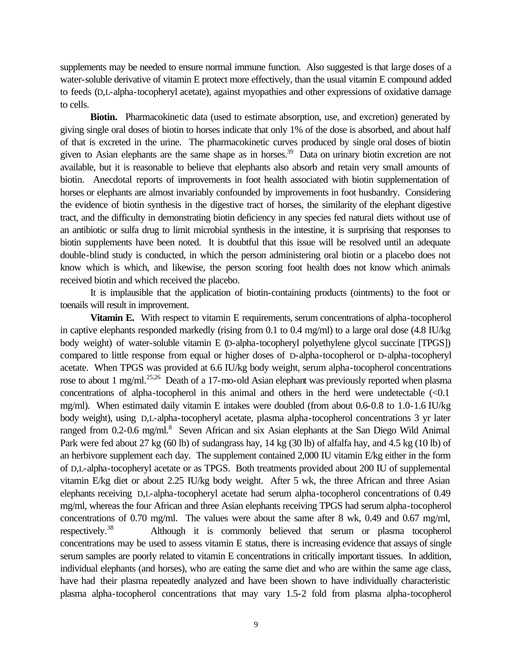supplements may be needed to ensure normal immune function. Also suggested is that large doses of a water-soluble derivative of vitamin E protect more effectively, than the usual vitamin E compound added to feeds (D,L-alpha-tocopheryl acetate), against myopathies and other expressions of oxidative damage to cells.

**Biotin.** Pharmacokinetic data (used to estimate absorption, use, and excretion) generated by giving single oral doses of biotin to horses indicate that only 1% of the dose is absorbed, and about half of that is excreted in the urine. The pharmacokinetic curves produced by single oral doses of biotin given to Asian elephants are the same shape as in horses.<sup>39</sup> Data on urinary biotin excretion are not available, but it is reasonable to believe that elephants also absorb and retain very small amounts of biotin. Anecdotal reports of improvements in foot health associated with biotin supplementation of horses or elephants are almost invariably confounded by improvements in foot husbandry. Considering the evidence of biotin synthesis in the digestive tract of horses, the similarity of the elephant digestive tract, and the difficulty in demonstrating biotin deficiency in any species fed natural diets without use of an antibiotic or sulfa drug to limit microbial synthesis in the intestine, it is surprising that responses to biotin supplements have been noted. It is doubtful that this issue will be resolved until an adequate double-blind study is conducted, in which the person administering oral biotin or a placebo does not know which is which, and likewise, the person scoring foot health does not know which animals received biotin and which received the placebo.

It is implausible that the application of biotin-containing products (ointments) to the foot or toenails will result in improvement.

**Vitamin E.** With respect to vitamin E requirements, serum concentrations of alpha-tocopherol in captive elephants responded markedly (rising from 0.1 to 0.4 mg/ml) to a large oral dose (4.8 IU/kg body weight) of water-soluble vitamin E (D-alpha-tocopheryl polyethylene glycol succinate [TPGS]) compared to little response from equal or higher doses of D-alpha-tocopherol or D-alpha-tocopheryl acetate. When TPGS was provided at 6.6 IU/kg body weight, serum alpha-tocopherol concentrations rose to about 1 mg/ml.<sup>25,26</sup> Death of a 17-mo-old Asian elephant was previously reported when plasma concentrations of alpha-tocopherol in this animal and others in the herd were undetectable  $\langle \langle 0.1 \rangle$ mg/ml). When estimated daily vitamin E intakes were doubled (from about 0.6-0.8 to 1.0-1.6 IU/kg body weight), using D,L-alpha-tocopheryl acetate, plasma alpha-tocopherol concentrations 3 yr later ranged from 0.2-0.6 mg/ml.<sup>8</sup> Seven African and six Asian elephants at the San Diego Wild Animal Park were fed about 27 kg (60 lb) of sudangrass hay, 14 kg (30 lb) of alfalfa hay, and 4.5 kg (10 lb) of an herbivore supplement each day. The supplement contained 2,000 IU vitamin E/kg either in the form of D,L-alpha-tocopheryl acetate or as TPGS. Both treatments provided about 200 IU of supplemental vitamin E/kg diet or about 2.25 IU/kg body weight. After 5 wk, the three African and three Asian elephants receiving D,L-alpha-tocopheryl acetate had serum alpha-tocopherol concentrations of 0.49 mg/ml, whereas the four African and three Asian elephants receiving TPGS had serum alpha-tocopherol concentrations of 0.70 mg/ml. The values were about the same after 8 wk, 0.49 and 0.67 mg/ml, respectively.<sup>38</sup> Although it is commonly believed that serum or plasma tocopherol concentrations may be used to assess vitamin E status, there is increasing evidence that assays of single serum samples are poorly related to vitamin E concentrations in critically important tissues. In addition, individual elephants (and horses), who are eating the same diet and who are within the same age class, have had their plasma repeatedly analyzed and have been shown to have individually characteristic plasma alpha-tocopherol concentrations that may vary 1.5-2 fold from plasma alpha-tocopherol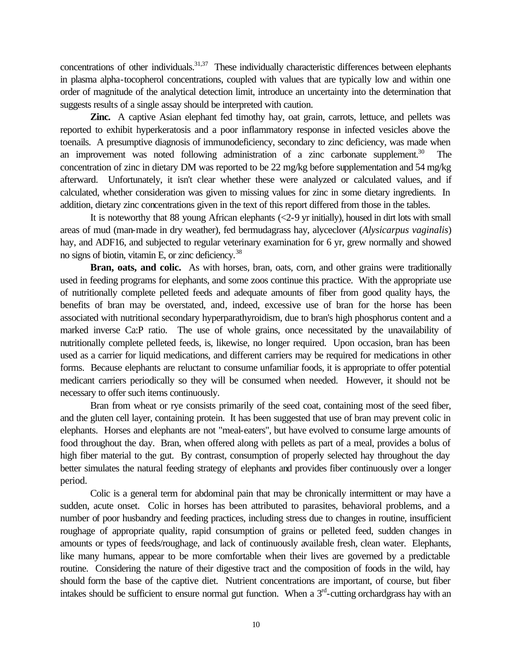concentrations of other individuals.<sup>31,37</sup> These individually characteristic differences between elephants in plasma alpha-tocopherol concentrations, coupled with values that are typically low and within one order of magnitude of the analytical detection limit, introduce an uncertainty into the determination that suggests results of a single assay should be interpreted with caution.

**Zinc.** A captive Asian elephant fed timothy hay, oat grain, carrots, lettuce, and pellets was reported to exhibit hyperkeratosis and a poor inflammatory response in infected vesicles above the toenails. A presumptive diagnosis of immunodeficiency, secondary to zinc deficiency, was made when an improvement was noted following administration of a zinc carbonate supplement.<sup>30</sup> concentration of zinc in dietary DM was reported to be 22 mg/kg before supplementation and 54 mg/kg afterward. Unfortunately, it isn't clear whether these were analyzed or calculated values, and if calculated, whether consideration was given to missing values for zinc in some dietary ingredients. In addition, dietary zinc concentrations given in the text of this report differed from those in the tables.

It is noteworthy that 88 young African elephants (<2-9 yr initially), housed in dirt lots with small areas of mud (man-made in dry weather), fed bermudagrass hay, alyceclover (*Alysicarpus vaginalis*) hay, and ADF16, and subjected to regular veterinary examination for 6 yr, grew normally and showed no signs of biotin, vitamin E, or zinc deficiency.<sup>38</sup>

Bran, oats, and colic. As with horses, bran, oats, corn, and other grains were traditionally used in feeding programs for elephants, and some zoos continue this practice. With the appropriate use of nutritionally complete pelleted feeds and adequate amounts of fiber from good quality hays, the benefits of bran may be overstated, and, indeed, excessive use of bran for the horse has been associated with nutritional secondary hyperparathyroidism, due to bran's high phosphorus content and a marked inverse Ca:P ratio. The use of whole grains, once necessitated by the unavailability of nutritionally complete pelleted feeds, is, likewise, no longer required. Upon occasion, bran has been used as a carrier for liquid medications, and different carriers may be required for medications in other forms. Because elephants are reluctant to consume unfamiliar foods, it is appropriate to offer potential medicant carriers periodically so they will be consumed when needed. However, it should not be necessary to offer such items continuously.

Bran from wheat or rye consists primarily of the seed coat, containing most of the seed fiber, and the gluten cell layer, containing protein. It has been suggested that use of bran may prevent colic in elephants. Horses and elephants are not "meal-eaters", but have evolved to consume large amounts of food throughout the day. Bran, when offered along with pellets as part of a meal, provides a bolus of high fiber material to the gut. By contrast, consumption of properly selected hay throughout the day better simulates the natural feeding strategy of elephants and provides fiber continuously over a longer period.

Colic is a general term for abdominal pain that may be chronically intermittent or may have a sudden, acute onset. Colic in horses has been attributed to parasites, behavioral problems, and a number of poor husbandry and feeding practices, including stress due to changes in routine, insufficient roughage of appropriate quality, rapid consumption of grains or pelleted feed, sudden changes in amounts or types of feeds/roughage, and lack of continuously available fresh, clean water. Elephants, like many humans, appear to be more comfortable when their lives are governed by a predictable routine. Considering the nature of their digestive tract and the composition of foods in the wild, hay should form the base of the captive diet. Nutrient concentrations are important, of course, but fiber intakes should be sufficient to ensure normal gut function. When a  $3<sup>rd</sup>$ -cutting orchardgrass hay with an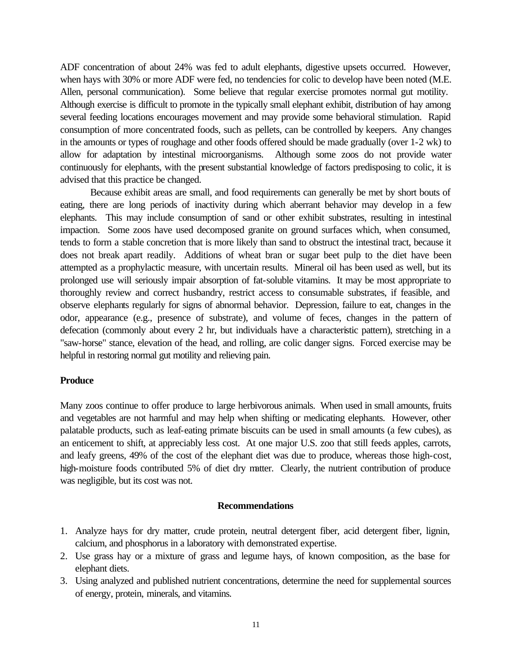ADF concentration of about 24% was fed to adult elephants, digestive upsets occurred. However, when hays with 30% or more ADF were fed, no tendencies for colic to develop have been noted (M.E. Allen, personal communication). Some believe that regular exercise promotes normal gut motility. Although exercise is difficult to promote in the typically small elephant exhibit, distribution of hay among several feeding locations encourages movement and may provide some behavioral stimulation. Rapid consumption of more concentrated foods, such as pellets, can be controlled by keepers. Any changes in the amounts or types of roughage and other foods offered should be made gradually (over 1-2 wk) to allow for adaptation by intestinal microorganisms. Although some zoos do not provide water continuously for elephants, with the present substantial knowledge of factors predisposing to colic, it is advised that this practice be changed.

Because exhibit areas are small, and food requirements can generally be met by short bouts of eating, there are long periods of inactivity during which aberrant behavior may develop in a few elephants. This may include consumption of sand or other exhibit substrates, resulting in intestinal impaction. Some zoos have used decomposed granite on ground surfaces which, when consumed, tends to form a stable concretion that is more likely than sand to obstruct the intestinal tract, because it does not break apart readily. Additions of wheat bran or sugar beet pulp to the diet have been attempted as a prophylactic measure, with uncertain results. Mineral oil has been used as well, but its prolonged use will seriously impair absorption of fat-soluble vitamins. It may be most appropriate to thoroughly review and correct husbandry, restrict access to consumable substrates, if feasible, and observe elephants regularly for signs of abnormal behavior. Depression, failure to eat, changes in the odor, appearance (e.g., presence of substrate), and volume of feces, changes in the pattern of defecation (commonly about every 2 hr, but individuals have a characteristic pattern), stretching in a "saw-horse" stance, elevation of the head, and rolling, are colic danger signs. Forced exercise may be helpful in restoring normal gut motility and relieving pain.

# **Produce**

Many zoos continue to offer produce to large herbivorous animals. When used in small amounts, fruits and vegetables are not harmful and may help when shifting or medicating elephants. However, other palatable products, such as leaf-eating primate biscuits can be used in small amounts (a few cubes), as an enticement to shift, at appreciably less cost. At one major U.S. zoo that still feeds apples, carrots, and leafy greens, 49% of the cost of the elephant diet was due to produce, whereas those high-cost, high-moisture foods contributed 5% of diet dry matter. Clearly, the nutrient contribution of produce was negligible, but its cost was not.

# **Recommendations**

- 1. Analyze hays for dry matter, crude protein, neutral detergent fiber, acid detergent fiber, lignin, calcium, and phosphorus in a laboratory with demonstrated expertise.
- 2. Use grass hay or a mixture of grass and legume hays, of known composition, as the base for elephant diets.
- 3. Using analyzed and published nutrient concentrations, determine the need for supplemental sources of energy, protein, minerals, and vitamins.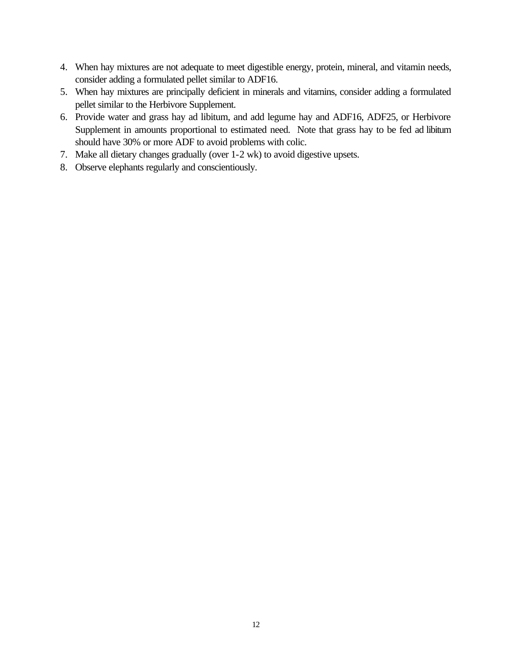- 4. When hay mixtures are not adequate to meet digestible energy, protein, mineral, and vitamin needs, consider adding a formulated pellet similar to ADF16.
- 5. When hay mixtures are principally deficient in minerals and vitamins, consider adding a formulated pellet similar to the Herbivore Supplement.
- 6. Provide water and grass hay ad libitum, and add legume hay and ADF16, ADF25, or Herbivore Supplement in amounts proportional to estimated need. Note that grass hay to be fed ad libitum should have 30% or more ADF to avoid problems with colic.
- 7. Make all dietary changes gradually (over 1-2 wk) to avoid digestive upsets.
- 8. Observe elephants regularly and conscientiously.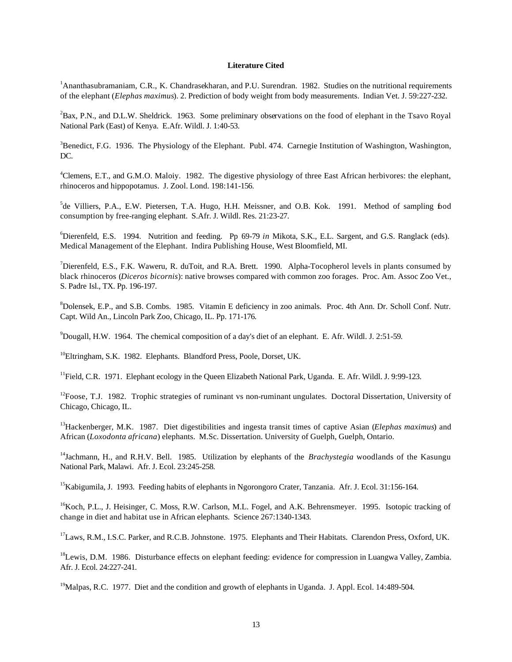#### **Literature Cited**

<sup>1</sup>Ananthasubramaniam, C.R., K. Chandrasekharan, and P.U. Surendran. 1982. Studies on the nutritional requirements of the elephant (*Elephas maximus*). 2. Prediction of body weight from body measurements. Indian Vet. J. 59:227-232.

<sup>2</sup>Bax, P.N., and D.L.W. Sheldrick. 1963. Some preliminary observations on the food of elephant in the Tsavo Royal National Park (East) of Kenya. E.Afr. Wildl. J. 1:40-53.

 $3B$ enedict, F.G. 1936. The Physiology of the Elephant. Publ. 474. Carnegie Institution of Washington, Washington, DC.

<sup>4</sup>Clemens, E.T., and G.M.O. Maloiy. 1982. The digestive physiology of three East African herbivores: the elephant, rhinoceros and hippopotamus. J. Zool. Lond. 198:141-156.

<sup>5</sup>de Villiers, P.A., E.W. Pietersen, T.A. Hugo, H.H. Meissner, and O.B. Kok. 1991. Method of sampling food consumption by free-ranging elephant. S.Afr. J. Wildl. Res. 21:23-27.

<sup>6</sup>Dierenfeld, E.S. 1994. Nutrition and feeding. Pp 69-79 *in* Mikota, S.K., E.L. Sargent, and G.S. Ranglack (eds). Medical Management of the Elephant. Indira Publishing House, West Bloomfield, MI.

<sup>7</sup>Dierenfeld, E.S., F.K. Waweru, R. duToit, and R.A. Brett. 1990. Alpha-Tocopherol levels in plants consumed by black rhinoceros (*Diceros bicornis*): native browses compared with common zoo forages. Proc. Am. Assoc Zoo Vet., S. Padre Isl., TX. Pp. 196-197.

<sup>8</sup>Dolensek, E.P., and S.B. Combs. 1985. Vitamin E deficiency in zoo animals. Proc. 4th Ann. Dr. Scholl Conf. Nutr. Capt. Wild An., Lincoln Park Zoo, Chicago, IL. Pp. 171-176.

<sup>9</sup>Dougall, H.W. 1964. The chemical composition of a day's diet of an elephant. E. Afr. Wildl. J. 2:51-59.

<sup>10</sup>Eltringham, S.K. 1982. Elephants. Blandford Press, Poole, Dorset, UK.

<sup>11</sup>Field, C.R. 1971. Elephant ecology in the Queen Elizabeth National Park, Uganda. E. Afr. Wildl. J. 9:99-123.

 $12$ Foose, T.J. 1982. Trophic strategies of ruminant vs non-ruminant ungulates. Doctoral Dissertation, University of Chicago, Chicago, IL.

<sup>13</sup>Hackenberger, M.K. 1987. Diet digestibilities and ingesta transit times of captive Asian (*Elephas maximus*) and African (*Loxodonta africana*) elephants. M.Sc. Dissertation. University of Guelph, Guelph, Ontario.

<sup>14</sup>Jachmann, H., and R.H.V. Bell. 1985. Utilization by elephants of the *Brachystegia* woodlands of the Kasungu National Park, Malawi. Afr. J. Ecol. 23:245-258.

<sup>15</sup>Kabigumila, J. 1993. Feeding habits of elephants in Ngorongoro Crater, Tanzania. Afr. J. Ecol. 31:156-164.

 $^{16}$ Koch, P.L., J. Heisinger, C. Moss, R.W. Carlson, M.L. Fogel, and A.K. Behrensmeyer. 1995. Isotopic tracking of change in diet and habitat use in African elephants. Science 267:1340-1343.

<sup>17</sup>Laws, R.M., I.S.C. Parker, and R.C.B. Johnstone. 1975. Elephants and Their Habitats. Clarendon Press, Oxford, UK.

<sup>18</sup>Lewis, D.M. 1986. Disturbance effects on elephant feeding: evidence for compression in Luangwa Valley, Zambia. Afr. J. Ecol. 24:227-241.

<sup>19</sup>Malpas, R.C. 1977. Diet and the condition and growth of elephants in Uganda. J. Appl. Ecol. 14:489-504.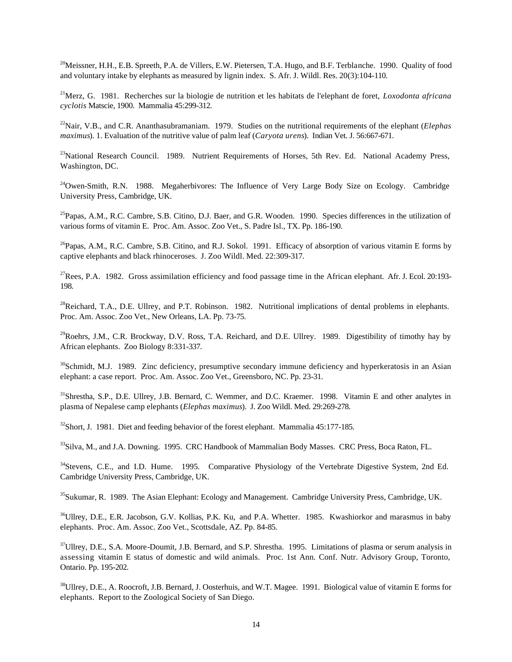$^{20}$ Meissner, H.H., E.B. Spreeth, P.A. de Villers, E.W. Pietersen, T.A. Hugo, and B.F. Terblanche. 1990. Quality of food and voluntary intake by elephants as measured by lignin index. S. Afr. J. Wildl. Res. 20(3):104-110.

<sup>21</sup>Merz, G. 1981. Recherches sur la biologie de nutrition et les habitats de l'elephant de foret, *Loxodonta africana cyclotis* Matscie, 1900. Mammalia 45:299-312.

<sup>22</sup>Nair, V.B., and C.R. Ananthasubramaniam. 1979. Studies on the nutritional requirements of the elephant (*Elephas maximus*). 1. Evaluation of the nutritive value of palm leaf (*Caryota urens*). Indian Vet. J. 56:667-671.

<sup>23</sup>National Research Council. 1989. Nutrient Requirements of Horses, 5th Rev. Ed. National Academy Press, Washington, DC.

 $^{24}$ Owen-Smith, R.N. 1988. Megaherbivores: The Influence of Very Large Body Size on Ecology. Cambridge University Press, Cambridge, UK.

 $^{25}$ Papas, A.M., R.C. Cambre, S.B. Citino, D.J. Baer, and G.R. Wooden. 1990. Species differences in the utilization of various forms of vitamin E. Proc. Am. Assoc. Zoo Vet., S. Padre Isl., TX. Pp. 186-190.

 $^{26}$ Papas, A.M., R.C. Cambre, S.B. Citino, and R.J. Sokol. 1991. Efficacy of absorption of various vitamin E forms by captive elephants and black rhinoceroses. J. Zoo Wildl. Med. 22:309-317.

 $^{27}$ Rees, P.A. 1982. Gross assimilation efficiency and food passage time in the African elephant. Afr. J. Ecol. 20:193-198.

 $^{28}$ Reichard, T.A., D.E. Ullrey, and P.T. Robinson. 1982. Nutritional implications of dental problems in elephants. Proc. Am. Assoc. Zoo Vet., New Orleans, LA. Pp. 73-75.

 $^{29}$ Roehrs, J.M., C.R. Brockway, D.V. Ross, T.A. Reichard, and D.E. Ullrey. 1989. Digestibility of timothy hay by African elephants. Zoo Biology 8:331-337.

<sup>30</sup>Schmidt, M.J. 1989. Zinc deficiency, presumptive secondary immune deficiency and hyperkeratosis in an Asian elephant: a case report. Proc. Am. Assoc. Zoo Vet., Greensboro, NC. Pp. 23-31.

<sup>31</sup>Shrestha, S.P., D.E. Ullrey, J.B. Bernard, C. Wemmer, and D.C. Kraemer. 1998. Vitamin E and other analytes in plasma of Nepalese camp elephants (*Elephas maximus*). J. Zoo Wildl. Med. 29:269-278.

 $32$ Short, J. 1981. Diet and feeding behavior of the forest elephant. Mammalia 45:177-185.

<sup>33</sup>Silva, M., and J.A. Downing. 1995. CRC Handbook of Mammalian Body Masses. CRC Press, Boca Raton, FL.

<sup>34</sup>Stevens, C.E., and I.D. Hume. 1995. Comparative Physiology of the Vertebrate Digestive System, 2nd Ed. Cambridge University Press, Cambridge, UK.

<sup>35</sup>Sukumar, R. 1989. The Asian Elephant: Ecology and Management. Cambridge University Press, Cambridge, UK.

<sup>36</sup>Ullrey, D.E., E.R. Jacobson, G.V. Kollias, P.K. Ku, and P.A. Whetter. 1985. Kwashiorkor and marasmus in baby elephants. Proc. Am. Assoc. Zoo Vet., Scottsdale, AZ. Pp. 84-85.

<sup>37</sup>Ullrey, D.E., S.A. Moore-Doumit, J.B. Bernard, and S.P. Shrestha. 1995. Limitations of plasma or serum analysis in assessing vitamin E status of domestic and wild animals. Proc. 1st Ann. Conf. Nutr. Advisory Group, Toronto, Ontario. Pp. 195-202.

<sup>38</sup>Ullrey, D.E., A. Roocroft, J.B. Bernard, J. Oosterhuis, and W.T. Magee. 1991. Biological value of vitamin E forms for elephants. Report to the Zoological Society of San Diego.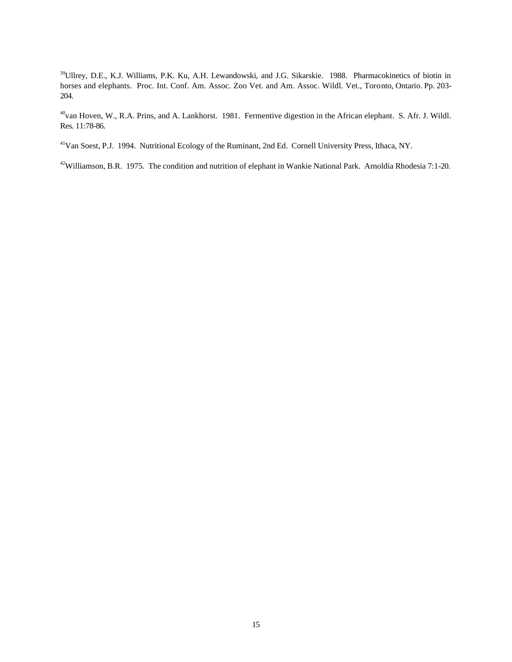<sup>39</sup>Ullrey, D.E., K.J. Williams, P.K. Ku, A.H. Lewandowski, and J.G. Sikarskie. 1988. Pharmacokinetics of biotin in horses and elephants. Proc. Int. Conf. Am. Assoc. Zoo Vet. and Am. Assoc. Wildl. Vet., Toronto, Ontario. Pp. 203- 204.

<sup>40</sup>van Hoven, W., R.A. Prins, and A. Lankhorst. 1981. Fermentive digestion in the African elephant. S. Afr. J. Wildl. Res. 11:78-86.

<sup>41</sup>Van Soest, P.J. 1994. Nutritional Ecology of the Ruminant, 2nd Ed. Cornell University Press, Ithaca, NY.

<sup>42</sup>Williamson, B.R. 1975. The condition and nutrition of elephant in Wankie National Park. Arnoldia Rhodesia 7:1-20.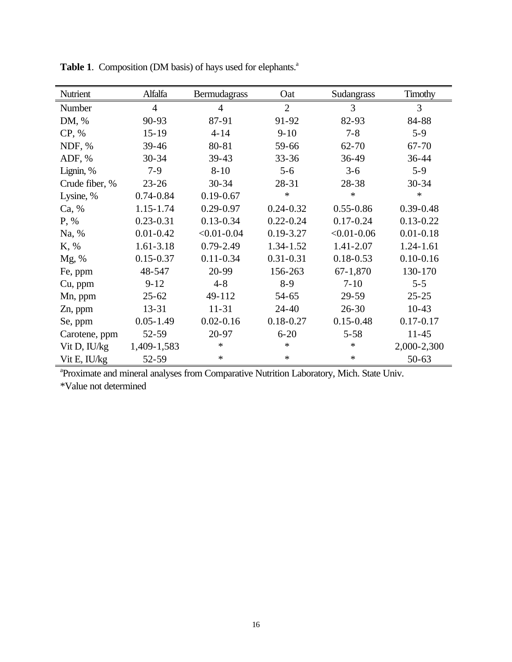| Nutrient       | Alfalfa        | Bermudagrass    | Oat            | Sudangrass      | Timothy        |
|----------------|----------------|-----------------|----------------|-----------------|----------------|
| Number         | $\overline{4}$ | $\overline{4}$  | $\overline{2}$ | 3               | $\overline{3}$ |
| DM, %          | 90-93          | 87-91           | 91-92          | 82-93           | 84-88          |
| CP, %          | $15 - 19$      | $4 - 14$        | $9-10$         | $7 - 8$         | $5-9$          |
| NDF, %         | 39-46          | 80-81           | 59-66          | $62 - 70$       | 67-70          |
| ADF, %         | $30 - 34$      | $39 - 43$       | $33 - 36$      | $36-49$         | $36 - 44$      |
| Lignin, %      | $7-9$          | $8 - 10$        | $5 - 6$        | $3-6$           | $5-9$          |
| Crude fiber, % | $23 - 26$      | $30 - 34$       | 28-31          | 28-38           | $30 - 34$      |
| Lysine, %      | $0.74 - 0.84$  | $0.19 - 0.67$   | $\ast$         | $\ast$          | $\ast$         |
| Ca, %          | 1.15-1.74      | $0.29 - 0.97$   | $0.24 - 0.32$  | $0.55 - 0.86$   | $0.39 - 0.48$  |
| P, %           | $0.23 - 0.31$  | $0.13 - 0.34$   | $0.22 - 0.24$  | $0.17 - 0.24$   | $0.13 - 0.22$  |
| Na, %          | $0.01 - 0.42$  | $< 0.01 - 0.04$ | $0.19 - 3.27$  | $< 0.01 - 0.06$ | $0.01 - 0.18$  |
| K, %           | $1.61 - 3.18$  | $0.79 - 2.49$   | 1.34-1.52      | 1.41-2.07       | $1.24 - 1.61$  |
| Mg, %          | $0.15 - 0.37$  | $0.11 - 0.34$   | $0.31 - 0.31$  | $0.18 - 0.53$   | $0.10 - 0.16$  |
| Fe, ppm        | 48-547         | 20-99           | 156-263        | 67-1,870        | 130-170        |
| Cu, ppm        | $9 - 12$       | $4 - 8$         | $8-9$          | $7 - 10$        | $5 - 5$        |
| Mn, ppm        | $25 - 62$      | 49-112          | $54 - 65$      | 29-59           | $25 - 25$      |
| Zn, ppm        | $13 - 31$      | $11 - 31$       | $24 - 40$      | $26 - 30$       | $10-43$        |
| Se, ppm        | $0.05 - 1.49$  | $0.02 - 0.16$   | $0.18 - 0.27$  | $0.15 - 0.48$   | $0.17 - 0.17$  |
| Carotene, ppm  | 52-59          | 20-97           | $6 - 20$       | $5 - 58$        | $11 - 45$      |
| Vit D, IU/kg   | 1,409-1,583    | $\ast$          | $\ast$         | $\ast$          | 2,000-2,300    |
| Vit E, IU/kg   | 52-59          | $\ast$          | $\ast$         | $\ast$          | $50 - 63$      |

Table 1. Composition (DM basis) of hays used for elephants.<sup>a</sup>

<sup>a</sup> Proximate and mineral analyses from Comparative Nutrition Laboratory, Mich. State Univ.

\*Value not determined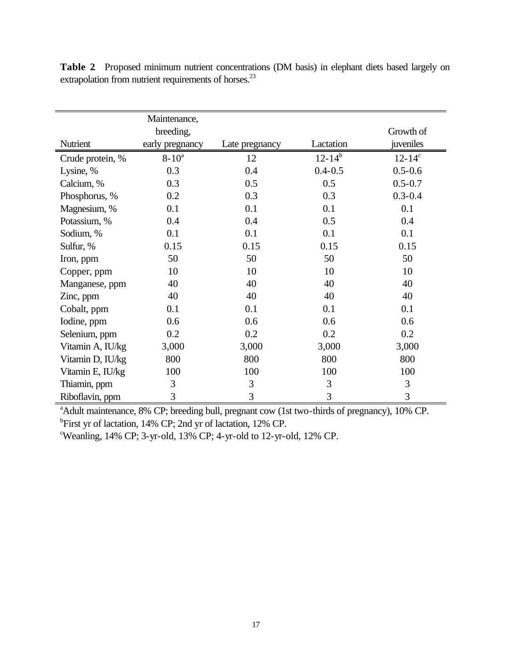|                  | Maintenance,<br>breeding, |                |               | Growth of   |
|------------------|---------------------------|----------------|---------------|-------------|
| Nutrient         | early pregnancy           | Late pregnancy | Lactation     | juveniles   |
| Crude protein, % | $8 - 10^a$                | 12             | $12 - 14^{b}$ | $12 - 14^c$ |
| Lysine, %        | 0.3                       | 0.4            | $0.4 - 0.5$   | $0.5 - 0.6$ |
| Calcium, %       | 0.3                       | 0.5            | 0.5           | $0.5 - 0.7$ |
| Phosphorus, %    | 0.2                       | 0.3            | 0.3           | $0.3 - 0.4$ |
| Magnesium, %     | 0.1                       | 0.1            | 0.1           | 0.1         |
| Potassium, %     | 0.4                       | 0.4            | 0.5           | 0.4         |
| Sodium, %        | 0.1                       | 0.1            | 0.1           | 0.1         |
| Sulfur, %        | 0.15                      | 0.15           | 0.15          | 0.15        |
| Iron, ppm        | 50                        | 50             | 50            | 50          |
| Copper, ppm      | 10                        | 10             | 10            | 10          |
| Manganese, ppm   | 40                        | 40             | 40            | 40          |
| Zinc, ppm        | 40                        | 40             | 40            | 40          |
| Cobalt, ppm      | 0.1                       | 0.1            | 0.1           | 0.1         |
| Iodine, ppm      | 0.6                       | 0.6            | 0.6           | 0.6         |
| Selenium, ppm    | 0.2                       | 0.2            | 0.2           | 0.2         |
| Vitamin A, IU/kg | 3,000                     | 3,000          | 3,000         | 3,000       |
| Vitamin D, IU/kg | 800                       | 800            | 800           | 800         |
| Vitamin E, IU/kg | 100                       | 100            | 100           | 100         |
| Thiamin, ppm     | 3                         | 3              | 3             | 3           |
| Riboflavin, ppm  | 3                         | 3              | 3             | 3           |

**Table 2**. Proposed minimum nutrient concentrations (DM basis) in elephant diets based largely on extrapolation from nutrient requirements of horses.<sup>23</sup>

<sup>a</sup>Adult maintenance, 8% CP; breeding bull, pregnant cow (1st two-thirds of pregnancy), 10% CP. <sup>b</sup>First yr of lactation, 14% CP; 2nd yr of lactation, 12% CP.

<sup>c</sup>Weanling, 14% CP; 3-yr-old, 13% CP; 4-yr-old to 12-yr-old, 12% CP.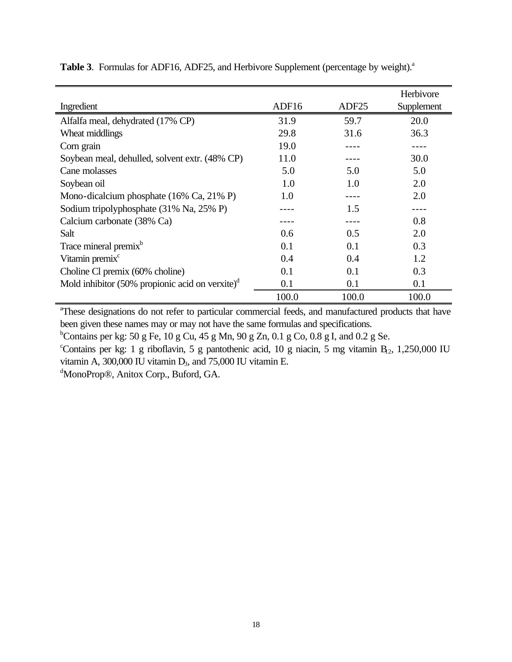|                                                    |       |                   | Herbivore  |
|----------------------------------------------------|-------|-------------------|------------|
| Ingredient                                         | ADF16 | ADF <sub>25</sub> | Supplement |
| Alfalfa meal, dehydrated (17% CP)                  | 31.9  | 59.7              | 20.0       |
| Wheat middlings                                    | 29.8  | 31.6              | 36.3       |
| Corn grain                                         | 19.0  |                   |            |
| Soybean meal, dehulled, solvent extr. (48% CP)     | 11.0  |                   | 30.0       |
| Cane molasses                                      | 5.0   | 5.0               | 5.0        |
| Soybean oil                                        | 1.0   | 1.0               | 2.0        |
| Mono-dicalcium phosphate (16% Ca, 21% P)           | 1.0   |                   | 2.0        |
| Sodium tripolyphosphate (31% Na, 25% P)            |       | 1.5               |            |
| Calcium carbonate (38% Ca)                         |       |                   | 0.8        |
| Salt                                               | 0.6   | 0.5               | 2.0        |
| Trace mineral premix <sup>b</sup>                  | 0.1   | 0.1               | 0.3        |
| Vitamin premix <sup>c</sup>                        | 0.4   | 0.4               | 1.2        |
| Choline Cl premix (60% choline)                    | 0.1   | 0.1               | 0.3        |
| Mold inhibitor (50% propionic acid on verxite) $d$ | 0.1   | 0.1               | 0.1        |
|                                                    | 100.0 | 100.0             | 100.0      |

Table 3. Formulas for ADF16, ADF25, and Herbivore Supplement (percentage by weight).<sup>a</sup>

<sup>a</sup>These designations do not refer to particular commercial feeds, and manufactured products that have been given these names may or may not have the same formulas and specifications.

<sup>b</sup>Contains per kg: 50 g Fe, 10 g Cu, 45 g Mn, 90 g Zn, 0.1 g Co, 0.8 g I, and 0.2 g Se.

"Contains per kg: 1 g riboflavin, 5 g pantothenic acid, 10 g niacin, 5 mg vitamin B<sub>12</sub>, 1,250,000 IU vitamin A, 300,000 IU vitamin  $D_3$ , and 75,000 IU vitamin E.

<sup>d</sup>MonoProp®, Anitox Corp., Buford, GA.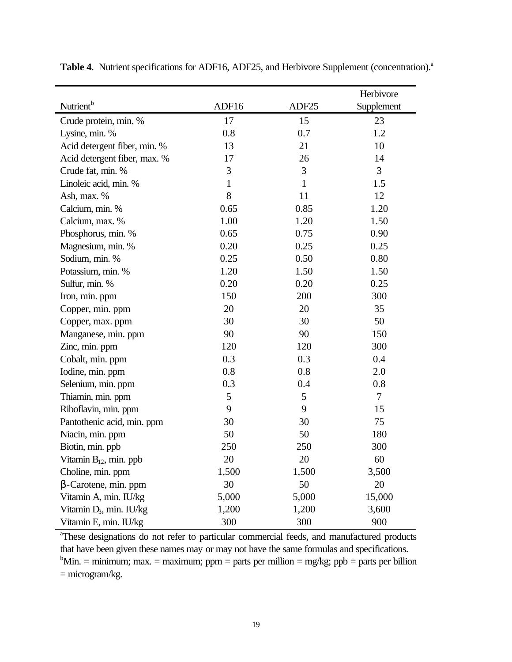|                                     |              |              | Herbivore  |
|-------------------------------------|--------------|--------------|------------|
| Nutrient <sup>b</sup>               | ADF16        | ADF25        | Supplement |
| Crude protein, min. %               | 17           | 15           | 23         |
| Lysine, min. %                      | 0.8          | 0.7          | 1.2        |
| Acid detergent fiber, min. %        | 13           | 21           | 10         |
| Acid detergent fiber, max. %        | 17           | 26           | 14         |
| Crude fat, min. %                   | 3            | 3            | 3          |
| Linoleic acid, min. %               | $\mathbf{1}$ | $\mathbf{1}$ | 1.5        |
| Ash, max. %                         | 8            | 11           | 12         |
| Calcium, min. %                     | 0.65         | 0.85         | 1.20       |
| Calcium, max. %                     | 1.00         | 1.20         | 1.50       |
| Phosphorus, min. %                  | 0.65         | 0.75         | 0.90       |
| Magnesium, min. %                   | 0.20         | 0.25         | 0.25       |
| Sodium, min. %                      | 0.25         | 0.50         | 0.80       |
| Potassium, min. %                   | 1.20         | 1.50         | 1.50       |
| Sulfur, min. %                      | 0.20         | 0.20         | 0.25       |
| Iron, min. ppm                      | 150          | 200          | 300        |
| Copper, min. ppm                    | 20           | 20           | 35         |
| Copper, max. ppm                    | 30           | 30           | 50         |
| Manganese, min. ppm                 | 90           | 90           | 150        |
| Zinc, min. ppm                      | 120          | 120          | 300        |
| Cobalt, min. ppm                    | 0.3          | 0.3          | 0.4        |
| Iodine, min. ppm                    | 0.8          | 0.8          | 2.0        |
| Selenium, min. ppm                  | 0.3          | 0.4          | 0.8        |
| Thiamin, min. ppm                   | 5            | 5            | $\tau$     |
| Riboflavin, min. ppm                | 9            | 9            | 15         |
| Pantothenic acid, min. ppm          | 30           | 30           | 75         |
| Niacin, min. ppm                    | 50           | 50           | 180        |
| Biotin, min. ppb                    | 250          | 250          | 300        |
| Vitamin $B_{12}$ , min. ppb         | 20           | 20           | 60         |
| Choline, min. ppm                   | 1,500        | 1,500        | 3,500      |
| $\beta$ -Carotene, min. ppm         | 30           | 50           | 20         |
| Vitamin A, min. IU/kg               | 5,000        | 5,000        | 15,000     |
| Vitamin D <sub>3</sub> , min. IU/kg | 1,200        | 1,200        | 3,600      |
| Vitamin E, min. IU/kg               | 300          | 300          | 900        |

Table 4. Nutrient specifications for ADF16, ADF25, and Herbivore Supplement (concentration).<sup>a</sup>

<sup>a</sup>These designations do not refer to particular commercial feeds, and manufactured products that have been given these names may or may not have the same formulas and specifications. <sup>b</sup>Min. = minimum; max. = maximum; ppm = parts per million = mg/kg; ppb = parts per billion = microgram/kg.